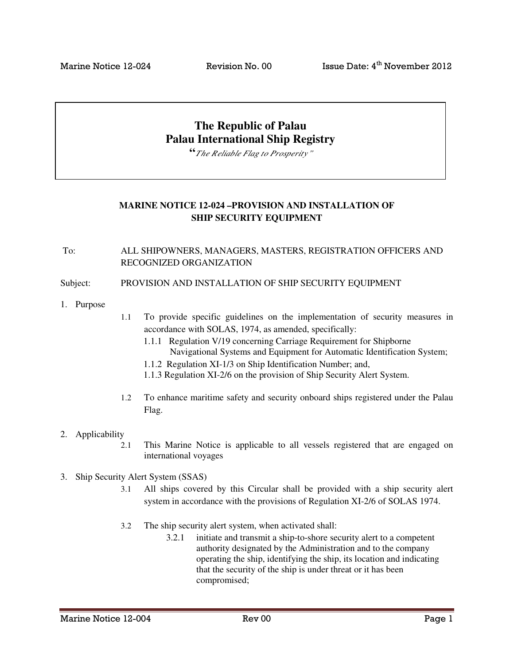# **The Republic of Palau Palau International Ship Registry**

**"***The Reliable Flag to Prosperity"*

## **MARINE NOTICE 12-024 –PROVISION AND INSTALLATION OF SHIP SECURITY EQUIPMENT**

To: ALL SHIPOWNERS, MANAGERS, MASTERS, REGISTRATION OFFICERS AND RECOGNIZED ORGANIZATION

Subject: PROVISION AND INSTALLATION OF SHIP SECURITY EQUIPMENT

- 1. Purpose
- 1.1 To provide specific guidelines on the implementation of security measures in accordance with SOLAS, 1974, as amended, specifically:
	- 1.1.1 Regulation V/19 concerning Carriage Requirement for Shipborne Navigational Systems and Equipment for Automatic Identification System;
	- 1.1.2 Regulation XI-1/3 on Ship Identification Number; and,
	- 1.1.3 Regulation XI-2/6 on the provision of Ship Security Alert System.
- 1.2 To enhance maritime safety and security onboard ships registered under the Palau Flag.

#### 2. Applicability

- 2.1 This Marine Notice is applicable to all vessels registered that are engaged on international voyages
- 3. Ship Security Alert System (SSAS)
	- 3.1 All ships covered by this Circular shall be provided with a ship security alert system in accordance with the provisions of Regulation XI-2/6 of SOLAS 1974.
	- 3.2 The ship security alert system, when activated shall:
		- 3.2.1 initiate and transmit a ship-to-shore security alert to a competent authority designated by the Administration and to the company operating the ship, identifying the ship, its location and indicating that the security of the ship is under threat or it has been compromised;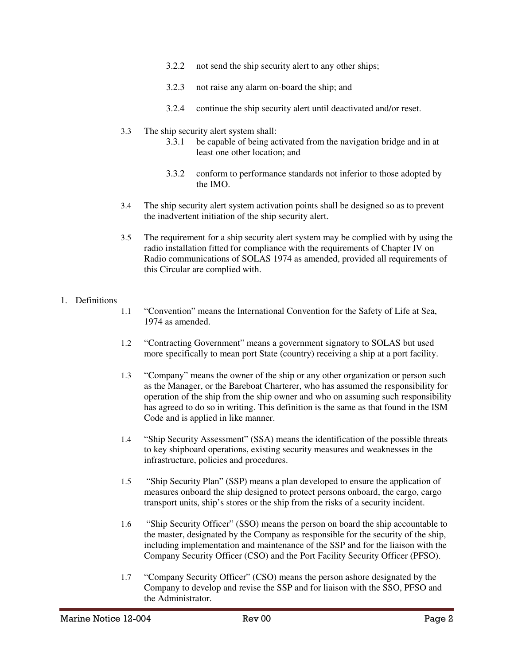- 3.2.2 not send the ship security alert to any other ships;
- 3.2.3 not raise any alarm on-board the ship; and
- 3.2.4 continue the ship security alert until deactivated and/or reset.

#### 3.3 The ship security alert system shall:

- 3.3.1 be capable of being activated from the navigation bridge and in at least one other location; and
- 3.3.2 conform to performance standards not inferior to those adopted by the IMO.
- 3.4 The ship security alert system activation points shall be designed so as to prevent the inadvertent initiation of the ship security alert.
- 3.5 The requirement for a ship security alert system may be complied with by using the radio installation fitted for compliance with the requirements of Chapter IV on Radio communications of SOLAS 1974 as amended, provided all requirements of this Circular are complied with.

## 1. Definitions

- 1.1 "Convention" means the International Convention for the Safety of Life at Sea, 1974 as amended.
- 1.2 "Contracting Government" means a government signatory to SOLAS but used more specifically to mean port State (country) receiving a ship at a port facility.
- 1.3 "Company" means the owner of the ship or any other organization or person such as the Manager, or the Bareboat Charterer, who has assumed the responsibility for operation of the ship from the ship owner and who on assuming such responsibility has agreed to do so in writing. This definition is the same as that found in the ISM Code and is applied in like manner.
- 1.4 "Ship Security Assessment" (SSA) means the identification of the possible threats to key shipboard operations, existing security measures and weaknesses in the infrastructure, policies and procedures.
- 1.5 "Ship Security Plan" (SSP) means a plan developed to ensure the application of measures onboard the ship designed to protect persons onboard, the cargo, cargo transport units, ship's stores or the ship from the risks of a security incident.
- 1.6 "Ship Security Officer" (SSO) means the person on board the ship accountable to the master, designated by the Company as responsible for the security of the ship, including implementation and maintenance of the SSP and for the liaison with the Company Security Officer (CSO) and the Port Facility Security Officer (PFSO).
- 1.7 "Company Security Officer" (CSO) means the person ashore designated by the Company to develop and revise the SSP and for liaison with the SSO, PFSO and the Administrator.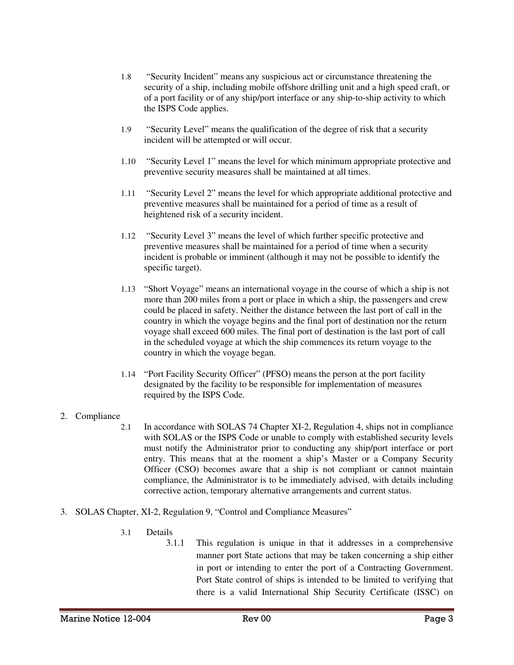- 1.8 "Security Incident" means any suspicious act or circumstance threatening the security of a ship, including mobile offshore drilling unit and a high speed craft, or of a port facility or of any ship/port interface or any ship-to-ship activity to which the ISPS Code applies.
- 1.9 "Security Level" means the qualification of the degree of risk that a security incident will be attempted or will occur.
- 1.10 "Security Level 1" means the level for which minimum appropriate protective and preventive security measures shall be maintained at all times.
- 1.11 "Security Level 2" means the level for which appropriate additional protective and preventive measures shall be maintained for a period of time as a result of heightened risk of a security incident.
- 1.12 "Security Level 3" means the level of which further specific protective and preventive measures shall be maintained for a period of time when a security incident is probable or imminent (although it may not be possible to identify the specific target).
- 1.13 "Short Voyage" means an international voyage in the course of which a ship is not more than 200 miles from a port or place in which a ship, the passengers and crew could be placed in safety. Neither the distance between the last port of call in the country in which the voyage begins and the final port of destination nor the return voyage shall exceed 600 miles. The final port of destination is the last port of call in the scheduled voyage at which the ship commences its return voyage to the country in which the voyage began.
- 1.14 "Port Facility Security Officer" (PFSO) means the person at the port facility designated by the facility to be responsible for implementation of measures required by the ISPS Code.
- 2. Compliance
	- 2.1 In accordance with SOLAS 74 Chapter XI-2, Regulation 4, ships not in compliance with SOLAS or the ISPS Code or unable to comply with established security levels must notify the Administrator prior to conducting any ship/port interface or port entry. This means that at the moment a ship's Master or a Company Security Officer (CSO) becomes aware that a ship is not compliant or cannot maintain compliance, the Administrator is to be immediately advised, with details including corrective action, temporary alternative arrangements and current status.
- 3. SOLAS Chapter, XI-2, Regulation 9, "Control and Compliance Measures"
	- 3.1 Details
		- 3.1.1 This regulation is unique in that it addresses in a comprehensive manner port State actions that may be taken concerning a ship either in port or intending to enter the port of a Contracting Government. Port State control of ships is intended to be limited to verifying that there is a valid International Ship Security Certificate (ISSC) on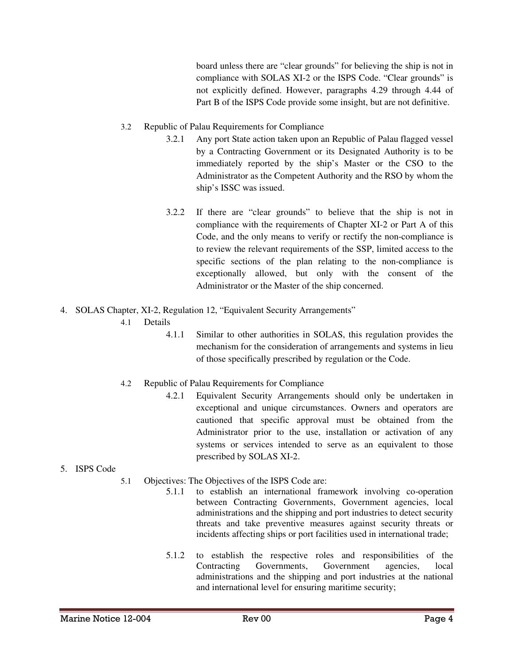board unless there are "clear grounds" for believing the ship is not in compliance with SOLAS XI-2 or the ISPS Code. "Clear grounds" is not explicitly defined. However, paragraphs 4.29 through 4.44 of Part B of the ISPS Code provide some insight, but are not definitive.

- 3.2 Republic of Palau Requirements for Compliance
	- 3.2.1 Any port State action taken upon an Republic of Palau flagged vessel by a Contracting Government or its Designated Authority is to be immediately reported by the ship's Master or the CSO to the Administrator as the Competent Authority and the RSO by whom the ship's ISSC was issued.
	- 3.2.2 If there are "clear grounds" to believe that the ship is not in compliance with the requirements of Chapter XI-2 or Part A of this Code, and the only means to verify or rectify the non-compliance is to review the relevant requirements of the SSP, limited access to the specific sections of the plan relating to the non-compliance is exceptionally allowed, but only with the consent of the Administrator or the Master of the ship concerned.
- 4. SOLAS Chapter, XI-2, Regulation 12, "Equivalent Security Arrangements"
	- 4.1 Details
		- 4.1.1 Similar to other authorities in SOLAS, this regulation provides the mechanism for the consideration of arrangements and systems in lieu of those specifically prescribed by regulation or the Code.
	- 4.2 Republic of Palau Requirements for Compliance
		- 4.2.1 Equivalent Security Arrangements should only be undertaken in exceptional and unique circumstances. Owners and operators are cautioned that specific approval must be obtained from the Administrator prior to the use, installation or activation of any systems or services intended to serve as an equivalent to those prescribed by SOLAS XI-2.
- 5. ISPS Code
	- 5.1 Objectives: The Objectives of the ISPS Code are:
		- 5.1.1 to establish an international framework involving co-operation between Contracting Governments, Government agencies, local administrations and the shipping and port industries to detect security threats and take preventive measures against security threats or incidents affecting ships or port facilities used in international trade;
		- 5.1.2 to establish the respective roles and responsibilities of the Contracting Governments, Government agencies, local administrations and the shipping and port industries at the national and international level for ensuring maritime security;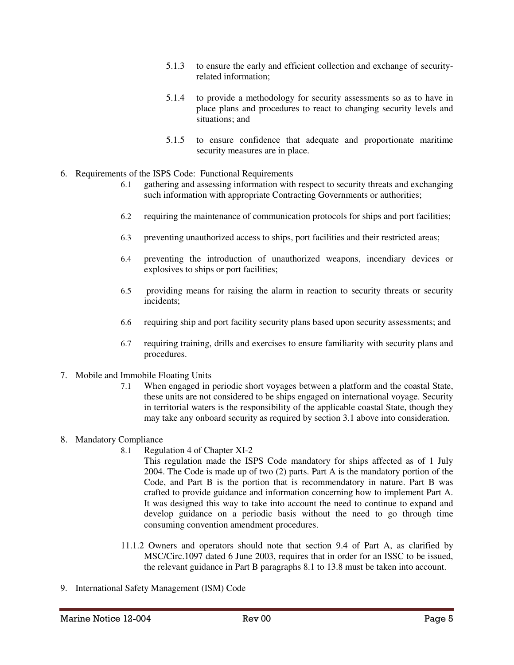- 5.1.3 to ensure the early and efficient collection and exchange of securityrelated information;
- 5.1.4 to provide a methodology for security assessments so as to have in place plans and procedures to react to changing security levels and situations; and
- 5.1.5 to ensure confidence that adequate and proportionate maritime security measures are in place.
- 6. Requirements of the ISPS Code: Functional Requirements
	- 6.1 gathering and assessing information with respect to security threats and exchanging such information with appropriate Contracting Governments or authorities;
	- 6.2 requiring the maintenance of communication protocols for ships and port facilities;
	- 6.3 preventing unauthorized access to ships, port facilities and their restricted areas;
	- 6.4 preventing the introduction of unauthorized weapons, incendiary devices or explosives to ships or port facilities;
	- 6.5 providing means for raising the alarm in reaction to security threats or security incidents;
	- 6.6 requiring ship and port facility security plans based upon security assessments; and
	- 6.7 requiring training, drills and exercises to ensure familiarity with security plans and procedures.
- 7. Mobile and Immobile Floating Units
	- 7.1 When engaged in periodic short voyages between a platform and the coastal State, these units are not considered to be ships engaged on international voyage. Security in territorial waters is the responsibility of the applicable coastal State, though they may take any onboard security as required by section 3.1 above into consideration.

## 8. Mandatory Compliance

- 8.1 Regulation 4 of Chapter XI-2
	- This regulation made the ISPS Code mandatory for ships affected as of 1 July 2004. The Code is made up of two (2) parts. Part A is the mandatory portion of the Code, and Part B is the portion that is recommendatory in nature. Part B was crafted to provide guidance and information concerning how to implement Part A. It was designed this way to take into account the need to continue to expand and develop guidance on a periodic basis without the need to go through time consuming convention amendment procedures.
- 11.1.2 Owners and operators should note that section 9.4 of Part A, as clarified by MSC/Circ.1097 dated 6 June 2003, requires that in order for an ISSC to be issued, the relevant guidance in Part B paragraphs 8.1 to 13.8 must be taken into account.
- 9. International Safety Management (ISM) Code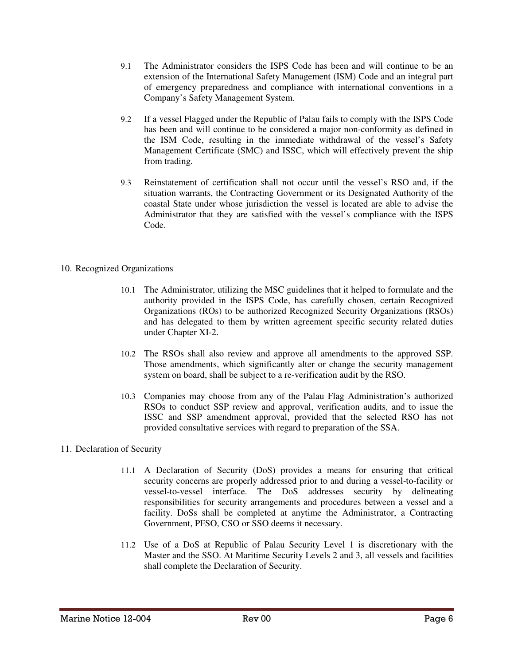- 9.1 The Administrator considers the ISPS Code has been and will continue to be an extension of the International Safety Management (ISM) Code and an integral part of emergency preparedness and compliance with international conventions in a Company's Safety Management System.
- 9.2 If a vessel Flagged under the Republic of Palau fails to comply with the ISPS Code has been and will continue to be considered a major non-conformity as defined in the ISM Code, resulting in the immediate withdrawal of the vessel's Safety Management Certificate (SMC) and ISSC, which will effectively prevent the ship from trading.
- 9.3 Reinstatement of certification shall not occur until the vessel's RSO and, if the situation warrants, the Contracting Government or its Designated Authority of the coastal State under whose jurisdiction the vessel is located are able to advise the Administrator that they are satisfied with the vessel's compliance with the ISPS Code.

## 10. Recognized Organizations

- 10.1 The Administrator, utilizing the MSC guidelines that it helped to formulate and the authority provided in the ISPS Code, has carefully chosen, certain Recognized Organizations (ROs) to be authorized Recognized Security Organizations (RSOs) and has delegated to them by written agreement specific security related duties under Chapter XI-2.
- 10.2 The RSOs shall also review and approve all amendments to the approved SSP. Those amendments, which significantly alter or change the security management system on board, shall be subject to a re-verification audit by the RSO.
- 10.3 Companies may choose from any of the Palau Flag Administration's authorized RSOs to conduct SSP review and approval, verification audits, and to issue the ISSC and SSP amendment approval, provided that the selected RSO has not provided consultative services with regard to preparation of the SSA.

## 11. Declaration of Security

- 11.1 A Declaration of Security (DoS) provides a means for ensuring that critical security concerns are properly addressed prior to and during a vessel-to-facility or vessel-to-vessel interface. The DoS addresses security by delineating responsibilities for security arrangements and procedures between a vessel and a facility. DoSs shall be completed at anytime the Administrator, a Contracting Government, PFSO, CSO or SSO deems it necessary.
- 11.2 Use of a DoS at Republic of Palau Security Level 1 is discretionary with the Master and the SSO. At Maritime Security Levels 2 and 3, all vessels and facilities shall complete the Declaration of Security.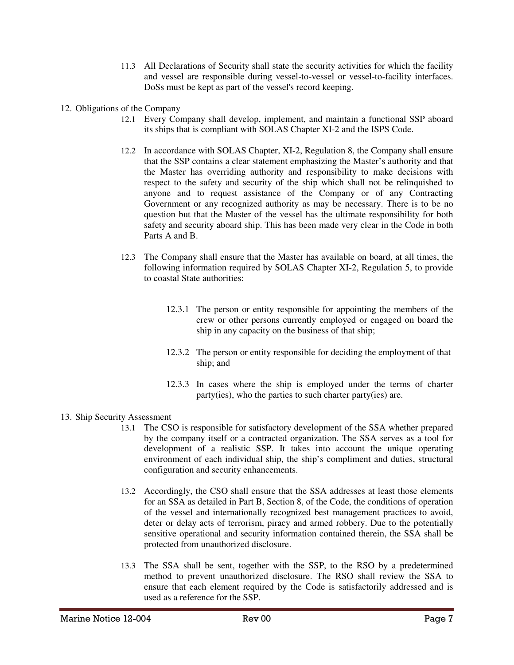- 11.3 All Declarations of Security shall state the security activities for which the facility and vessel are responsible during vessel-to-vessel or vessel-to-facility interfaces. DoSs must be kept as part of the vessel's record keeping.
- 12. Obligations of the Company
	- 12.1 Every Company shall develop, implement, and maintain a functional SSP aboard its ships that is compliant with SOLAS Chapter XI-2 and the ISPS Code.
	- 12.2 In accordance with SOLAS Chapter, XI-2, Regulation 8, the Company shall ensure that the SSP contains a clear statement emphasizing the Master's authority and that the Master has overriding authority and responsibility to make decisions with respect to the safety and security of the ship which shall not be relinquished to anyone and to request assistance of the Company or of any Contracting Government or any recognized authority as may be necessary. There is to be no question but that the Master of the vessel has the ultimate responsibility for both safety and security aboard ship. This has been made very clear in the Code in both Parts A and B.
	- 12.3 The Company shall ensure that the Master has available on board, at all times, the following information required by SOLAS Chapter XI-2, Regulation 5, to provide to coastal State authorities:
		- 12.3.1 The person or entity responsible for appointing the members of the crew or other persons currently employed or engaged on board the ship in any capacity on the business of that ship;
		- 12.3.2 The person or entity responsible for deciding the employment of that ship; and
		- 12.3.3 In cases where the ship is employed under the terms of charter party(ies), who the parties to such charter party(ies) are.
- 13. Ship Security Assessment
	- 13.1 The CSO is responsible for satisfactory development of the SSA whether prepared by the company itself or a contracted organization. The SSA serves as a tool for development of a realistic SSP. It takes into account the unique operating environment of each individual ship, the ship's compliment and duties, structural configuration and security enhancements.
	- 13.2 Accordingly, the CSO shall ensure that the SSA addresses at least those elements for an SSA as detailed in Part B, Section 8, of the Code, the conditions of operation of the vessel and internationally recognized best management practices to avoid, deter or delay acts of terrorism, piracy and armed robbery. Due to the potentially sensitive operational and security information contained therein, the SSA shall be protected from unauthorized disclosure.
	- 13.3 The SSA shall be sent, together with the SSP, to the RSO by a predetermined method to prevent unauthorized disclosure. The RSO shall review the SSA to ensure that each element required by the Code is satisfactorily addressed and is used as a reference for the SSP.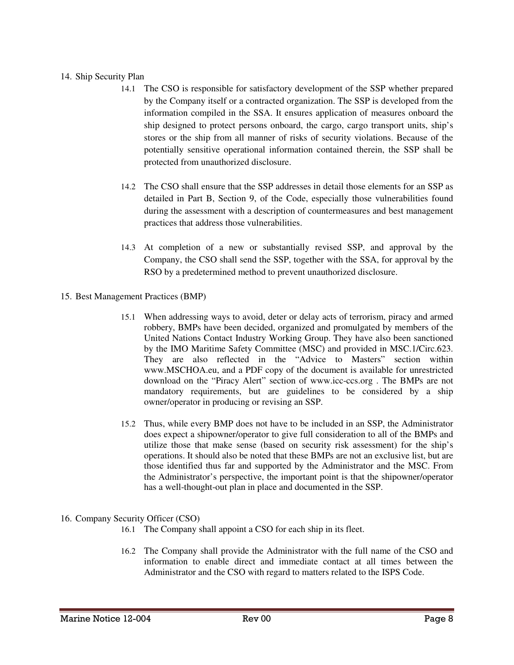#### 14. Ship Security Plan

- 14.1 The CSO is responsible for satisfactory development of the SSP whether prepared by the Company itself or a contracted organization. The SSP is developed from the information compiled in the SSA. It ensures application of measures onboard the ship designed to protect persons onboard, the cargo, cargo transport units, ship's stores or the ship from all manner of risks of security violations. Because of the potentially sensitive operational information contained therein, the SSP shall be protected from unauthorized disclosure.
- 14.2 The CSO shall ensure that the SSP addresses in detail those elements for an SSP as detailed in Part B, Section 9, of the Code, especially those vulnerabilities found during the assessment with a description of countermeasures and best management practices that address those vulnerabilities.
- 14.3 At completion of a new or substantially revised SSP, and approval by the Company, the CSO shall send the SSP, together with the SSA, for approval by the RSO by a predetermined method to prevent unauthorized disclosure.
- 15. Best Management Practices (BMP)
	- 15.1 When addressing ways to avoid, deter or delay acts of terrorism, piracy and armed robbery, BMPs have been decided, organized and promulgated by members of the United Nations Contact Industry Working Group. They have also been sanctioned by the IMO Maritime Safety Committee (MSC) and provided in MSC.1/Circ.623. They are also reflected in the "Advice to Masters" section within www.MSCHOA.eu, and a PDF copy of the document is available for unrestricted download on the "Piracy Alert" section of www.icc-ccs.org . The BMPs are not mandatory requirements, but are guidelines to be considered by a ship owner/operator in producing or revising an SSP.
	- 15.2 Thus, while every BMP does not have to be included in an SSP, the Administrator does expect a shipowner/operator to give full consideration to all of the BMPs and utilize those that make sense (based on security risk assessment) for the ship's operations. It should also be noted that these BMPs are not an exclusive list, but are those identified thus far and supported by the Administrator and the MSC. From the Administrator's perspective, the important point is that the shipowner/operator has a well-thought-out plan in place and documented in the SSP.

## 16. Company Security Officer (CSO)

- 16.1 The Company shall appoint a CSO for each ship in its fleet.
- 16.2 The Company shall provide the Administrator with the full name of the CSO and information to enable direct and immediate contact at all times between the Administrator and the CSO with regard to matters related to the ISPS Code.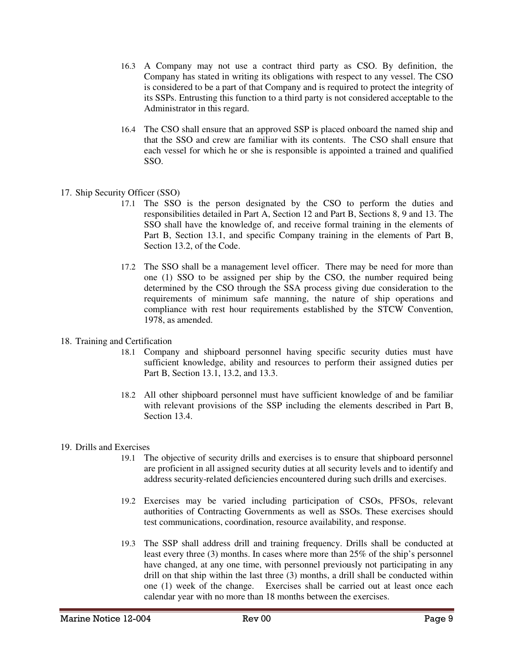- 16.3 A Company may not use a contract third party as CSO. By definition, the Company has stated in writing its obligations with respect to any vessel. The CSO is considered to be a part of that Company and is required to protect the integrity of its SSPs. Entrusting this function to a third party is not considered acceptable to the Administrator in this regard.
- 16.4 The CSO shall ensure that an approved SSP is placed onboard the named ship and that the SSO and crew are familiar with its contents. The CSO shall ensure that each vessel for which he or she is responsible is appointed a trained and qualified SSO.
- 17. Ship Security Officer (SSO)
	- 17.1 The SSO is the person designated by the CSO to perform the duties and responsibilities detailed in Part A, Section 12 and Part B, Sections 8, 9 and 13. The SSO shall have the knowledge of, and receive formal training in the elements of Part B, Section 13.1, and specific Company training in the elements of Part B, Section 13.2, of the Code.
	- 17.2 The SSO shall be a management level officer. There may be need for more than one (1) SSO to be assigned per ship by the CSO, the number required being determined by the CSO through the SSA process giving due consideration to the requirements of minimum safe manning, the nature of ship operations and compliance with rest hour requirements established by the STCW Convention, 1978, as amended.
- 18. Training and Certification
	- 18.1 Company and shipboard personnel having specific security duties must have sufficient knowledge, ability and resources to perform their assigned duties per Part B, Section 13.1, 13.2, and 13.3.
	- 18.2 All other shipboard personnel must have sufficient knowledge of and be familiar with relevant provisions of the SSP including the elements described in Part B, Section 13.4.
- 19. Drills and Exercises
	- 19.1 The objective of security drills and exercises is to ensure that shipboard personnel are proficient in all assigned security duties at all security levels and to identify and address security-related deficiencies encountered during such drills and exercises.
	- 19.2 Exercises may be varied including participation of CSOs, PFSOs, relevant authorities of Contracting Governments as well as SSOs. These exercises should test communications, coordination, resource availability, and response.
	- 19.3 The SSP shall address drill and training frequency. Drills shall be conducted at least every three (3) months. In cases where more than 25% of the ship's personnel have changed, at any one time, with personnel previously not participating in any drill on that ship within the last three (3) months, a drill shall be conducted within one (1) week of the change. Exercises shall be carried out at least once each calendar year with no more than 18 months between the exercises.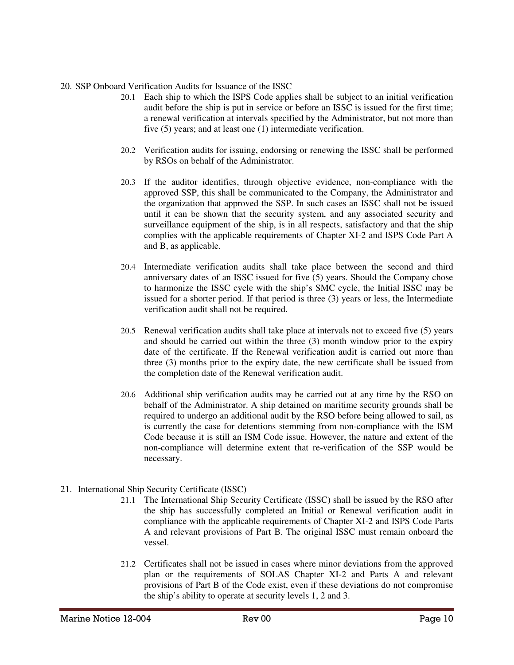## 20. SSP Onboard Verification Audits for Issuance of the ISSC

- 20.1 Each ship to which the ISPS Code applies shall be subject to an initial verification audit before the ship is put in service or before an ISSC is issued for the first time; a renewal verification at intervals specified by the Administrator, but not more than five (5) years; and at least one (1) intermediate verification.
- 20.2 Verification audits for issuing, endorsing or renewing the ISSC shall be performed by RSOs on behalf of the Administrator.
- 20.3 If the auditor identifies, through objective evidence, non-compliance with the approved SSP, this shall be communicated to the Company, the Administrator and the organization that approved the SSP. In such cases an ISSC shall not be issued until it can be shown that the security system, and any associated security and surveillance equipment of the ship, is in all respects, satisfactory and that the ship complies with the applicable requirements of Chapter XI-2 and ISPS Code Part A and B, as applicable.
- 20.4 Intermediate verification audits shall take place between the second and third anniversary dates of an ISSC issued for five (5) years. Should the Company chose to harmonize the ISSC cycle with the ship's SMC cycle, the Initial ISSC may be issued for a shorter period. If that period is three (3) years or less, the Intermediate verification audit shall not be required.
- 20.5 Renewal verification audits shall take place at intervals not to exceed five (5) years and should be carried out within the three (3) month window prior to the expiry date of the certificate. If the Renewal verification audit is carried out more than three (3) months prior to the expiry date, the new certificate shall be issued from the completion date of the Renewal verification audit.
- 20.6 Additional ship verification audits may be carried out at any time by the RSO on behalf of the Administrator. A ship detained on maritime security grounds shall be required to undergo an additional audit by the RSO before being allowed to sail, as is currently the case for detentions stemming from non-compliance with the ISM Code because it is still an ISM Code issue. However, the nature and extent of the non-compliance will determine extent that re-verification of the SSP would be necessary.
- 21. International Ship Security Certificate (ISSC)
	- 21.1 The International Ship Security Certificate (ISSC) shall be issued by the RSO after the ship has successfully completed an Initial or Renewal verification audit in compliance with the applicable requirements of Chapter XI-2 and ISPS Code Parts A and relevant provisions of Part B. The original ISSC must remain onboard the vessel.
	- 21.2 Certificates shall not be issued in cases where minor deviations from the approved plan or the requirements of SOLAS Chapter XI-2 and Parts A and relevant provisions of Part B of the Code exist, even if these deviations do not compromise the ship's ability to operate at security levels 1, 2 and 3.